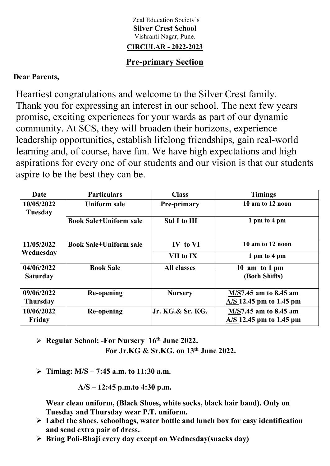### Zeal Education Society's **Silver Crest School** Vishranti Nagar, Pune. **CIRCULAR - 2022-2023**

# **Pre-primary Section**

## **Dear Parents,**

Heartiest congratulations and welcome to the Silver Crest family. Thank you for expressing an interest in our school. The next few years promise, exciting experiences for your wards as part of our dynamic community. At SCS, they will broaden their horizons, experience leadership opportunities, establish lifelong friendships, gain real-world learning and, of course, have fun. We have high expectations and high aspirations for every one of our students and our vision is that our students aspire to be the best they can be.

| Date                          | <b>Particulars</b>            | <b>Class</b>        | <b>Timings</b>                                     |
|-------------------------------|-------------------------------|---------------------|----------------------------------------------------|
| 10/05/2022<br>Tuesday         | Uniform sale                  | <b>Pre-primary</b>  | 10 am to 12 noon                                   |
|                               | <b>Book Sale+Uniform sale</b> | <b>Std I to III</b> | 1 pm to 4 pm                                       |
| 11/05/2022                    | <b>Book Sale+Uniform sale</b> | IV to VI            | 10 am to 12 noon                                   |
| Wednesday                     |                               | VII to IX           | 1 pm to 4 pm                                       |
| 04/06/2022<br><b>Saturday</b> | <b>Book Sale</b>              | <b>All classes</b>  | 10 am to 1 pm<br>(Both Shifts)                     |
| 09/06/2022<br><b>Thursday</b> | Re-opening                    | <b>Nursery</b>      | M/S7.45 am to 8.45 am<br>$A/S$ 12.45 pm to 1.45 pm |
| 10/06/2022<br>Friday          | Re-opening                    | Jr. KG.& Sr. KG.    | M/S7.45 am to 8.45 am<br>$A/S$ 12.45 pm to 1.45 pm |

- **Regular School: -For Nursery 16 th June 2022. For Jr.KG & Sr.KG. on 13 th June 2022.**
	-
- **Timing: M/S – 7:45 a.m. to 11:30 a.m.**

**A/S – 12:45 p.m.to 4:30 p.m.**

**Wear clean uniform, (Black Shoes, white socks, black hair band). Only on Tuesday and Thursday wear P.T. uniform.**

- **Label the shoes, schoolbags, water bottle and lunch box for easy identification and send extra pair of dress.**
- **Bring Poli-Bhaji every day except on Wednesday(snacks day)**